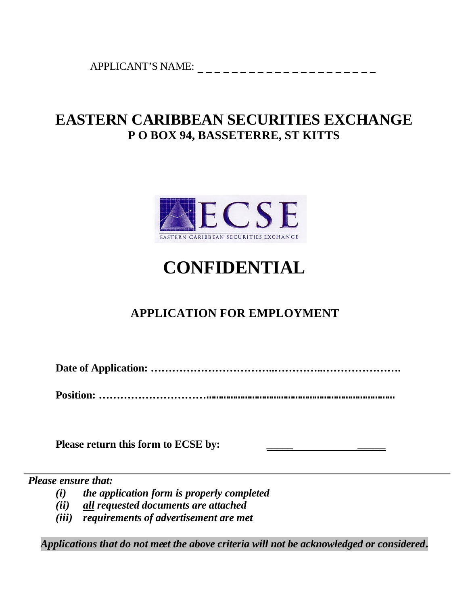APPLICANT'S NAME: \_\_\_\_\_\_\_\_\_\_\_\_\_\_\_\_\_\_\_\_\_

## **EASTERN CARIBBEAN SECURITIES EXCHANGE P O BOX 94, BASSETERRE, ST KITTS**



# **CONFIDENTIAL**

## **APPLICATION FOR EMPLOYMENT**

**Date of Application: ……………………………..…………..………………….**

**Position: ………………………………………………………………………………………………**

**Please return this form to ECSE by: \_\_\_\_\_ \_\_\_\_\_**

*Please ensure that:*

- *(i) the application form is properly completed*
- *(ii) all requested documents are attached*
- *(iii) requirements of advertisement are met*

*Applications that do not meet the above criteria will not be acknowledged or considered.*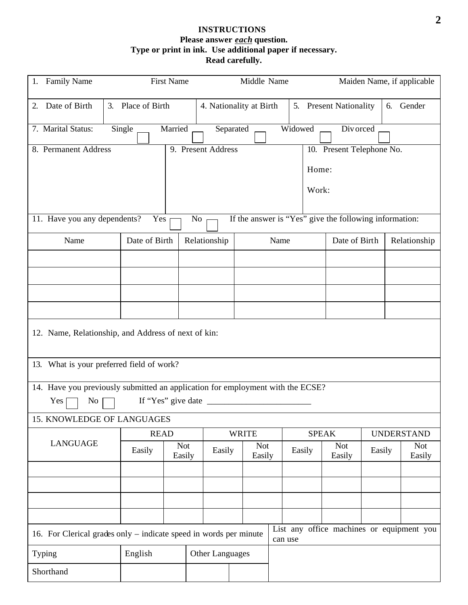#### **INSTRUCTIONS Please answer** *each* **question. Type or print in ink. Use additional paper if necessary. Read carefully.**

| <b>Family Name</b><br>1.                                                                                                  | <b>First Name</b>                                      |                           |                    | Middle Name                |      |                     |                                                        |                                 | Maiden Name, if applicable |
|---------------------------------------------------------------------------------------------------------------------------|--------------------------------------------------------|---------------------------|--------------------|----------------------------|------|---------------------|--------------------------------------------------------|---------------------------------|----------------------------|
| Date of Birth<br>2.                                                                                                       | 3. Place of Birth                                      |                           |                    | 4. Nationality at Birth    |      |                     | 5. Present Nationality                                 |                                 | 6. Gender                  |
| 7. Marital Status:                                                                                                        | Widowed<br>Single<br>Married<br>Separated<br>Div orced |                           |                    |                            |      |                     |                                                        |                                 |                            |
| 8. Permanent Address                                                                                                      |                                                        |                           | 9. Present Address |                            |      |                     | 10. Present Telephone No.                              |                                 |                            |
|                                                                                                                           |                                                        |                           |                    |                            |      | Home:               |                                                        |                                 |                            |
|                                                                                                                           |                                                        |                           |                    |                            |      | Work:               |                                                        |                                 |                            |
| 11. Have you any dependents?                                                                                              | Yes                                                    | No                        |                    |                            |      |                     | If the answer is "Yes" give the following information: |                                 |                            |
| Name                                                                                                                      | Date of Birth                                          |                           | Relationship       |                            | Name |                     | Date of Birth                                          |                                 | Relationship               |
|                                                                                                                           |                                                        |                           |                    |                            |      |                     |                                                        |                                 |                            |
|                                                                                                                           |                                                        |                           |                    |                            |      |                     |                                                        |                                 |                            |
|                                                                                                                           |                                                        |                           |                    |                            |      |                     |                                                        |                                 |                            |
|                                                                                                                           |                                                        |                           |                    |                            |      |                     |                                                        |                                 |                            |
| 12. Name, Relationship, and Address of next of kin:                                                                       |                                                        |                           |                    |                            |      |                     |                                                        |                                 |                            |
| 13. What is your preferred field of work?                                                                                 |                                                        |                           |                    |                            |      |                     |                                                        |                                 |                            |
| 14. Have you previously submitted an application for employment with the ECSE?                                            |                                                        |                           |                    |                            |      |                     |                                                        |                                 |                            |
| If "Yes" give date $\_\_\_\_\_\_\_\_\_\_\_\_\_\_\_\_\_\_\_\_\_\_\_\_\_\_\_\_\_\_$<br>Yes<br>No                            |                                                        |                           |                    |                            |      |                     |                                                        |                                 |                            |
| 15. KNOWLEDGE OF LANGUAGES                                                                                                |                                                        |                           |                    |                            |      |                     |                                                        |                                 |                            |
| <b>LANGUAGE</b>                                                                                                           |                                                        | <b>READ</b><br><b>Not</b> |                    | <b>WRITE</b><br><b>Not</b> |      | <b>SPEAK</b><br>Not |                                                        | <b>UNDERSTAND</b><br><b>Not</b> |                            |
|                                                                                                                           | Easily                                                 | Easily                    | Easily             | Easily                     |      | Easily              | Easily                                                 | Easily                          | Easily                     |
|                                                                                                                           |                                                        |                           |                    |                            |      |                     |                                                        |                                 |                            |
|                                                                                                                           |                                                        |                           |                    |                            |      |                     |                                                        |                                 |                            |
|                                                                                                                           |                                                        |                           |                    |                            |      |                     |                                                        |                                 |                            |
| List any office machines or equipment you<br>16. For Clerical grades only – indicate speed in words per minute<br>can use |                                                        |                           |                    |                            |      |                     |                                                        |                                 |                            |
| Typing                                                                                                                    | English                                                |                           | Other Languages    |                            |      |                     |                                                        |                                 |                            |
| Shorthand                                                                                                                 |                                                        |                           |                    |                            |      |                     |                                                        |                                 |                            |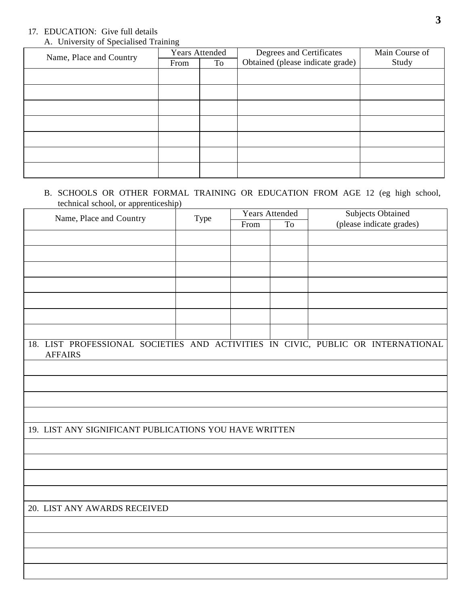### 17. EDUCATION: Give full details

|  |  | A. University of Specialised Training |  |
|--|--|---------------------------------------|--|
|--|--|---------------------------------------|--|

| Name, Place and Country | <b>Years Attended</b> |    | Degrees and Certificates         | Main Course of |
|-------------------------|-----------------------|----|----------------------------------|----------------|
|                         | From                  | To | Obtained (please indicate grade) | Study          |
|                         |                       |    |                                  |                |
|                         |                       |    |                                  |                |
|                         |                       |    |                                  |                |
|                         |                       |    |                                  |                |
|                         |                       |    |                                  |                |
|                         |                       |    |                                  |                |
|                         |                       |    |                                  |                |

#### B. SCHOOLS OR OTHER FORMAL TRAINING OR EDUCATION FROM AGE 12 (eg high school, technical school, or apprenticeship)

| Name, Place and Country                                                                            | Type | <b>Years Attended</b> |                | <b>Subjects Obtained</b> |  |  |
|----------------------------------------------------------------------------------------------------|------|-----------------------|----------------|--------------------------|--|--|
|                                                                                                    |      | From                  | T <sub>o</sub> | (please indicate grades) |  |  |
|                                                                                                    |      |                       |                |                          |  |  |
|                                                                                                    |      |                       |                |                          |  |  |
|                                                                                                    |      |                       |                |                          |  |  |
|                                                                                                    |      |                       |                |                          |  |  |
|                                                                                                    |      |                       |                |                          |  |  |
|                                                                                                    |      |                       |                |                          |  |  |
|                                                                                                    |      |                       |                |                          |  |  |
|                                                                                                    |      |                       |                |                          |  |  |
| 18. LIST PROFESSIONAL SOCIETIES AND ACTIVITIES IN CIVIC, PUBLIC OR INTERNATIONAL<br><b>AFFAIRS</b> |      |                       |                |                          |  |  |
|                                                                                                    |      |                       |                |                          |  |  |
|                                                                                                    |      |                       |                |                          |  |  |
|                                                                                                    |      |                       |                |                          |  |  |
|                                                                                                    |      |                       |                |                          |  |  |
| 19. LIST ANY SIGNIFICANT PUBLICATIONS YOU HAVE WRITTEN                                             |      |                       |                |                          |  |  |
|                                                                                                    |      |                       |                |                          |  |  |
|                                                                                                    |      |                       |                |                          |  |  |
|                                                                                                    |      |                       |                |                          |  |  |
|                                                                                                    |      |                       |                |                          |  |  |
| 20. LIST ANY AWARDS RECEIVED                                                                       |      |                       |                |                          |  |  |
|                                                                                                    |      |                       |                |                          |  |  |
|                                                                                                    |      |                       |                |                          |  |  |
|                                                                                                    |      |                       |                |                          |  |  |
|                                                                                                    |      |                       |                |                          |  |  |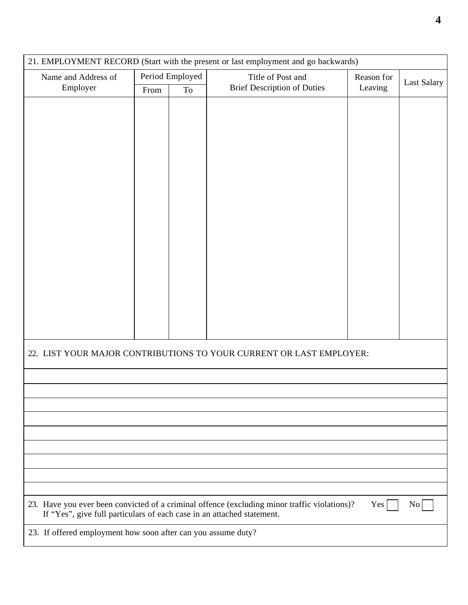| Period Employed<br>Title of Post and<br>Name and Address of<br>Reason for<br>Last Salary<br><b>Brief Description of Duties</b><br>Employer<br>Leaving<br>From<br>To<br>22. LIST YOUR MAJOR CONTRIBUTIONS TO YOUR CURRENT OR LAST EMPLOYER:<br>23. Have you ever been convicted of a criminal offence (excluding minor traffic violations)?<br>Yes<br>$\overline{N}$<br>If "Yes", give full particulars of each case in an attached statement.<br>23. If offered employment how soon after can you assume duty? | 21. EMPLOYMENT RECORD (Start with the present or last employment and go backwards) |  |  |  |  |  |  |
|----------------------------------------------------------------------------------------------------------------------------------------------------------------------------------------------------------------------------------------------------------------------------------------------------------------------------------------------------------------------------------------------------------------------------------------------------------------------------------------------------------------|------------------------------------------------------------------------------------|--|--|--|--|--|--|
|                                                                                                                                                                                                                                                                                                                                                                                                                                                                                                                |                                                                                    |  |  |  |  |  |  |
|                                                                                                                                                                                                                                                                                                                                                                                                                                                                                                                |                                                                                    |  |  |  |  |  |  |
|                                                                                                                                                                                                                                                                                                                                                                                                                                                                                                                |                                                                                    |  |  |  |  |  |  |
|                                                                                                                                                                                                                                                                                                                                                                                                                                                                                                                |                                                                                    |  |  |  |  |  |  |
|                                                                                                                                                                                                                                                                                                                                                                                                                                                                                                                |                                                                                    |  |  |  |  |  |  |
|                                                                                                                                                                                                                                                                                                                                                                                                                                                                                                                |                                                                                    |  |  |  |  |  |  |
|                                                                                                                                                                                                                                                                                                                                                                                                                                                                                                                |                                                                                    |  |  |  |  |  |  |
|                                                                                                                                                                                                                                                                                                                                                                                                                                                                                                                |                                                                                    |  |  |  |  |  |  |
|                                                                                                                                                                                                                                                                                                                                                                                                                                                                                                                |                                                                                    |  |  |  |  |  |  |
|                                                                                                                                                                                                                                                                                                                                                                                                                                                                                                                |                                                                                    |  |  |  |  |  |  |
|                                                                                                                                                                                                                                                                                                                                                                                                                                                                                                                |                                                                                    |  |  |  |  |  |  |
|                                                                                                                                                                                                                                                                                                                                                                                                                                                                                                                |                                                                                    |  |  |  |  |  |  |
|                                                                                                                                                                                                                                                                                                                                                                                                                                                                                                                |                                                                                    |  |  |  |  |  |  |
|                                                                                                                                                                                                                                                                                                                                                                                                                                                                                                                |                                                                                    |  |  |  |  |  |  |
|                                                                                                                                                                                                                                                                                                                                                                                                                                                                                                                |                                                                                    |  |  |  |  |  |  |
|                                                                                                                                                                                                                                                                                                                                                                                                                                                                                                                |                                                                                    |  |  |  |  |  |  |
|                                                                                                                                                                                                                                                                                                                                                                                                                                                                                                                |                                                                                    |  |  |  |  |  |  |
|                                                                                                                                                                                                                                                                                                                                                                                                                                                                                                                |                                                                                    |  |  |  |  |  |  |
|                                                                                                                                                                                                                                                                                                                                                                                                                                                                                                                |                                                                                    |  |  |  |  |  |  |
|                                                                                                                                                                                                                                                                                                                                                                                                                                                                                                                |                                                                                    |  |  |  |  |  |  |
|                                                                                                                                                                                                                                                                                                                                                                                                                                                                                                                |                                                                                    |  |  |  |  |  |  |
|                                                                                                                                                                                                                                                                                                                                                                                                                                                                                                                |                                                                                    |  |  |  |  |  |  |
|                                                                                                                                                                                                                                                                                                                                                                                                                                                                                                                |                                                                                    |  |  |  |  |  |  |
|                                                                                                                                                                                                                                                                                                                                                                                                                                                                                                                |                                                                                    |  |  |  |  |  |  |
|                                                                                                                                                                                                                                                                                                                                                                                                                                                                                                                |                                                                                    |  |  |  |  |  |  |
|                                                                                                                                                                                                                                                                                                                                                                                                                                                                                                                |                                                                                    |  |  |  |  |  |  |
|                                                                                                                                                                                                                                                                                                                                                                                                                                                                                                                |                                                                                    |  |  |  |  |  |  |
|                                                                                                                                                                                                                                                                                                                                                                                                                                                                                                                |                                                                                    |  |  |  |  |  |  |
|                                                                                                                                                                                                                                                                                                                                                                                                                                                                                                                |                                                                                    |  |  |  |  |  |  |
|                                                                                                                                                                                                                                                                                                                                                                                                                                                                                                                |                                                                                    |  |  |  |  |  |  |
|                                                                                                                                                                                                                                                                                                                                                                                                                                                                                                                |                                                                                    |  |  |  |  |  |  |
|                                                                                                                                                                                                                                                                                                                                                                                                                                                                                                                |                                                                                    |  |  |  |  |  |  |
|                                                                                                                                                                                                                                                                                                                                                                                                                                                                                                                |                                                                                    |  |  |  |  |  |  |
|                                                                                                                                                                                                                                                                                                                                                                                                                                                                                                                |                                                                                    |  |  |  |  |  |  |
|                                                                                                                                                                                                                                                                                                                                                                                                                                                                                                                |                                                                                    |  |  |  |  |  |  |